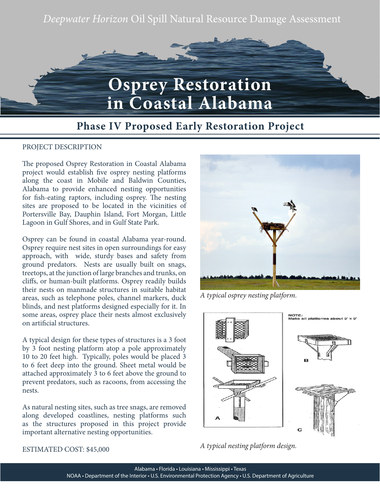*Deepwater Horizon* Oil Spill Natural Resource Damage Assessment



## **Phase IV Proposed Early Restoration Project**

## PROJECT DESCRIPTION

The proposed Osprey Restoration in Coastal Alabama project would establish five osprey nesting platforms along the coast in Mobile and Baldwin Counties, Alabama to provide enhanced nesting opportunities for fish-eating raptors, including osprey. The nesting sites are proposed to be located in the vicinities of Portersville Bay, Dauphin Island, Fort Morgan, Little Lagoon in Gulf Shores, and in Gulf State Park.

Osprey can be found in coastal Alabama year-round. Osprey require nest sites in open surroundings for easy approach, with wide, sturdy bases and safety from ground predators. Nests are usually built on snags, treetops, at the junction of large branches and trunks, on cliffs, or human-built platforms. Osprey readily builds their nests on manmade structures in suitable habitat areas, such as telephone poles, channel markers, duck blinds, and nest platforms designed especially for it. In some areas, osprey place their nests almost exclusively on artificial structures.

A typical design for these types of structures is a 3 foot by 3 foot nesting platform atop a pole approximately 10 to 20 feet high. Typically, poles would be placed 3 to 6 feet deep into the ground. Sheet metal would be attached approximately 3 to 6 feet above the ground to prevent predators, such as racoons, from accessing the nests.

As natural nesting sites, such as tree snags, are removed along developed coastlines, nesting platforms such as the structures proposed in this project provide important alternative nesting opportunities.



*A typical osprey nesting platform.*



*A typical nesting platform design.* 

ESTIMATED COST: \$45,000